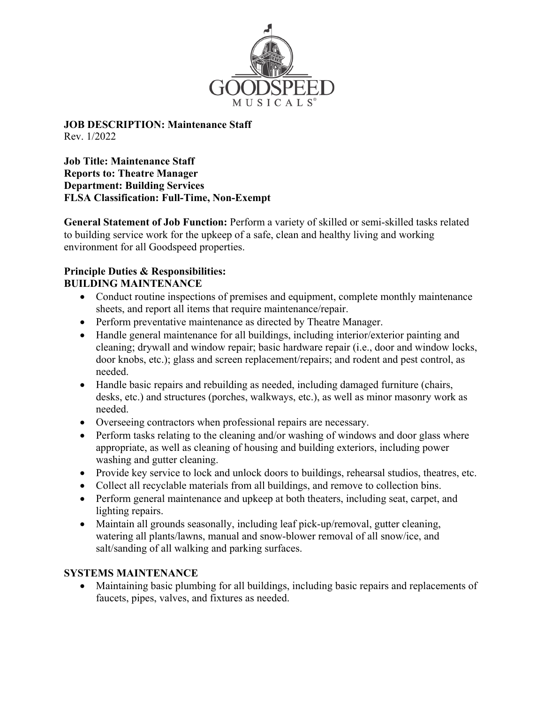

**JOB DESCRIPTION: Maintenance Staff** Rev. 1/2022

**Job Title: Maintenance Staff Reports to: Theatre Manager Department: Building Services FLSA Classification: Full-Time, Non-Exempt**

**General Statement of Job Function:** Perform a variety of skilled or semi-skilled tasks related to building service work for the upkeep of a safe, clean and healthy living and working environment for all Goodspeed properties.

## **Principle Duties & Responsibilities: BUILDING MAINTENANCE**

- Conduct routine inspections of premises and equipment, complete monthly maintenance sheets, and report all items that require maintenance/repair.
- Perform preventative maintenance as directed by Theatre Manager.
- Handle general maintenance for all buildings, including interior/exterior painting and cleaning; drywall and window repair; basic hardware repair (i.e., door and window locks, door knobs, etc.); glass and screen replacement/repairs; and rodent and pest control, as needed.
- Handle basic repairs and rebuilding as needed, including damaged furniture (chairs, desks, etc.) and structures (porches, walkways, etc.), as well as minor masonry work as needed.
- Overseeing contractors when professional repairs are necessary.
- Perform tasks relating to the cleaning and/or washing of windows and door glass where appropriate, as well as cleaning of housing and building exteriors, including power washing and gutter cleaning.
- Provide key service to lock and unlock doors to buildings, rehearsal studios, theatres, etc.
- Collect all recyclable materials from all buildings, and remove to collection bins.
- Perform general maintenance and upkeep at both theaters, including seat, carpet, and lighting repairs.
- Maintain all grounds seasonally, including leaf pick-up/removal, gutter cleaning, watering all plants/lawns, manual and snow-blower removal of all snow/ice, and salt/sanding of all walking and parking surfaces.

## **SYSTEMS MAINTENANCE**

 Maintaining basic plumbing for all buildings, including basic repairs and replacements of faucets, pipes, valves, and fixtures as needed.